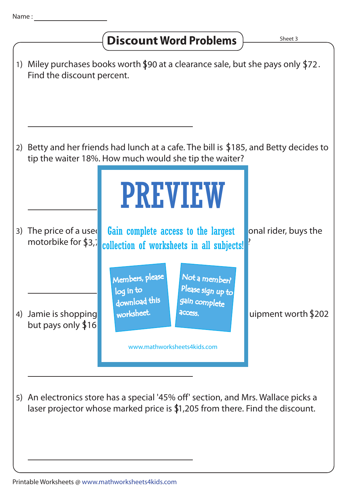